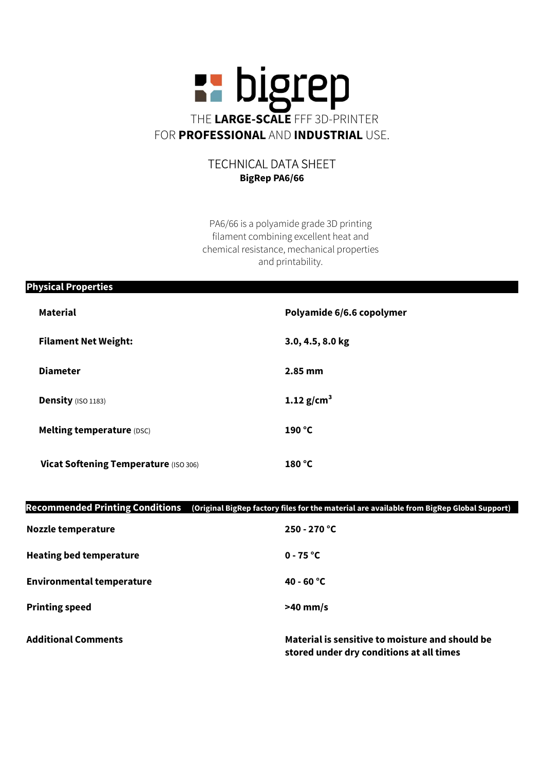

## TECHNICAL DATA SHEET BigRep PA6/66

PA6/66 is a polyamide grade 3D printing filament combining excellent heat and chemical resistance, mechanical properties and printability.

| <b>Physical Properties</b> |                                              |                           |  |
|----------------------------|----------------------------------------------|---------------------------|--|
|                            | <b>Material</b>                              | Polyamide 6/6.6 copolymer |  |
|                            | <b>Filament Net Weight:</b>                  | 3.0, 4.5, 8.0 kg          |  |
|                            | <b>Diameter</b>                              | $2.85$ mm                 |  |
|                            | <b>Density (ISO 1183)</b>                    | 1.12 $g/cm^{3}$           |  |
|                            | <b>Melting temperature (DSC)</b>             | 190 °C                    |  |
|                            | <b>Vicat Softening Temperature (ISO 306)</b> | 180 °C                    |  |
|                            |                                              |                           |  |

## Recommended Printing Conditions (Original BigRep factory files for the material are available from BigRep Global Support)

| <b>Nozzle temperature</b>        | $250 - 270$ °C                                                                              |
|----------------------------------|---------------------------------------------------------------------------------------------|
| <b>Heating bed temperature</b>   | $0 - 75$ °C                                                                                 |
| <b>Environmental temperature</b> | $40 - 60 °C$                                                                                |
| <b>Printing speed</b>            | $>40$ mm/s                                                                                  |
| <b>Additional Comments</b>       | Material is sensitive to moisture and should be<br>stored under dry conditions at all times |